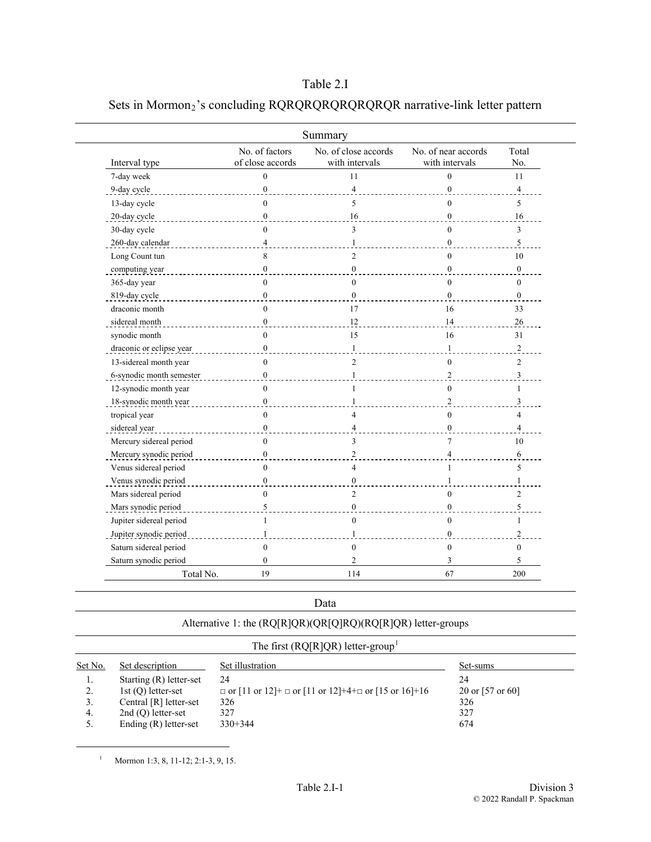### Table 2.I

## Sets in Mormon<sub>2</sub>'s concluding RQRQRQRQRQRQRQR narrative-link letter pattern

|                          |                                    | Summary                                |                                       |                         |
|--------------------------|------------------------------------|----------------------------------------|---------------------------------------|-------------------------|
| Interval type            | No. of factors<br>of close accords | No. of close accords<br>with intervals | No. of near accords<br>with intervals | Total<br>No.            |
| 7-day week               | $\theta$                           | 11                                     | $\theta$                              | 11                      |
| 9-day cycle              | $\mathbf{0}$                       | $\overline{4}$                         | $\mathbf{0}$                          | $\overline{\mathbf{4}}$ |
| 13-day cycle             | $\Omega$                           | 5                                      | $\theta$                              | 5                       |
| 20-day cycle             | $\mathbf{0}$                       | 16                                     | $\mathbf{0}$                          | 16                      |
| 30-day cycle             | $\Omega$                           | 3                                      | $\theta$                              | 3                       |
| 260-day calendar         | 4                                  | $\mathbf{1}$                           | $\boldsymbol{0}$                      | 5                       |
| Long Count tun           | 8                                  | $\overline{2}$                         | $\mathbf{0}$                          | 10                      |
| computing year           | $\boldsymbol{0}$                   | $\boldsymbol{0}$                       | $\mathbf{0}$                          | $\boldsymbol{0}$        |
| 365-day year             | $\theta$                           | $\theta$                               | $\mathbf{0}$                          | $\Omega$                |
| 819-day cycle            | $\mathbf{0}$                       | $\mathbf{0}$                           | $\mathbf{0}$                          | $\mathbf{0}$            |
| draconic month           | $\theta$                           | 17                                     | 16                                    | 33                      |
| sidereal month           | $\boldsymbol{0}$                   | 12                                     | 14                                    | 26                      |
| synodic month            | $\theta$                           | 15                                     | 16                                    | 31                      |
| draconic or eclipse year | $\boldsymbol{0}$                   | $\mathbf{1}$                           | $\mathbf{1}$                          | $\sqrt{2}$              |
| 13-sidereal month year   | $\Omega$                           | $\overline{c}$                         | $\mathbf{0}$                          | $\overline{c}$          |
| 6-synodic month semester | $\mathbf{0}$                       | $\mathbf{1}$                           | $\overline{c}$                        | 3                       |
| 12-synodic month year    | $\Omega$                           | 1                                      | $\mathbf{0}$                          | 1                       |
| 18-synodic month year    | $\mathbf{0}$                       | $\mathbf{1}$                           | $\overline{c}$                        | 3                       |
| tropical year            | $\theta$                           | $\overline{4}$                         | $\mathbf{0}$                          | $\overline{4}$          |
| sidereal year            | $\mathbf{0}$                       | $\overline{4}$                         | $\theta$                              | 4                       |
| Mercury sidereal period  | $\mathbf{0}$                       | 3                                      | $\overline{7}$                        | 10                      |
| Mercury synodic period   | $\boldsymbol{0}$                   | $\overline{c}$                         | $\overline{\mathcal{L}}$              | 6                       |
| Venus sidereal period    | $\Omega$                           | $\overline{4}$                         | 1                                     | 5                       |
| Venus synodic period     | $\boldsymbol{0}$                   | $\boldsymbol{0}$                       | $\mathbf{1}$                          | $\mathbf{1}$            |
| Mars sidereal period     | $\Omega$                           | $\overline{c}$                         | $\mathbf{0}$                          | $\overline{2}$          |
| Mars synodic period      | 5                                  | $\mathbf{0}$                           | $\mathbf{0}$                          | 5                       |
| Jupiter sidereal period  |                                    | $\overline{0}$                         | $\boldsymbol{0}$                      |                         |
| Jupiter synodic period   |                                    | $\mathbf{1}$                           | $\mathbf{0}$                          | $\overline{c}$          |
| Saturn sidereal period   | $\Omega$                           | $\mathbf{0}$                           | $\mathbf{0}$                          | $\theta$                |
| Saturn synodic period    | $\boldsymbol{0}$                   | $\overline{c}$                         | 3                                     | 5                       |
| Total No.                | 19                                 | 114                                    | 67                                    | 200                     |

Data

Alternative 1: the (RQ[R]QR)(QR[Q]RQ)(RQ[R]QR) letter-groups

# The first ( $RQ[R]QR$ ) letter-group<sup>[1](#page-0-0)</sup>

| Set No. | Set description         | Set illustration                                                                                          | Set-sums           |
|---------|-------------------------|-----------------------------------------------------------------------------------------------------------|--------------------|
| 1.      | Starting (R) letter-set | 24                                                                                                        | 24                 |
| 2.      | 1st $(Q)$ letter-set    | $\Box$ or $[11 \text{ or } 12]$ + $\Box$ or $[11 \text{ or } 12]$ +4+ $\Box$ or $[15 \text{ or } 16]$ +16 | 20 or $[57$ or 60] |
| 3.      | Central [R] letter-set  | 326                                                                                                       | 326                |
| 4.      | $2nd(Q)$ letter-set     | 327                                                                                                       | 327                |
|         | Ending $(R)$ letter-set | $330+344$                                                                                                 | 674                |

<span id="page-0-0"></span><sup>1</sup> Mormon 1:3, 8, 11-12; 2:1-3, 9, 15.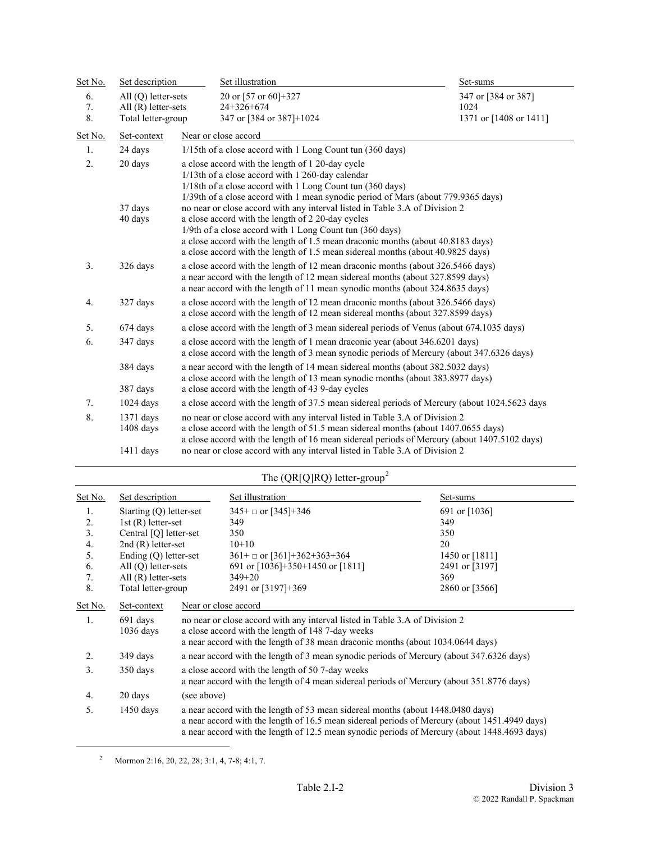| Set No. | Set description            | Set illustration                                                                                                                                                                                                                                                                                                                                                   | Set-sums               |  |
|---------|----------------------------|--------------------------------------------------------------------------------------------------------------------------------------------------------------------------------------------------------------------------------------------------------------------------------------------------------------------------------------------------------------------|------------------------|--|
| 6.      | All $(Q)$ letter-sets      | 20 or [57 or 60]+327                                                                                                                                                                                                                                                                                                                                               | 347 or [384 or 387]    |  |
| 7.      | All $(R)$ letter-sets      | $24+326+674$                                                                                                                                                                                                                                                                                                                                                       | 1024                   |  |
| 8.      | Total letter-group         | 347 or [384 or 387]+1024                                                                                                                                                                                                                                                                                                                                           | 1371 or [1408 or 1411] |  |
| Set No. | Set-context                | Near or close accord                                                                                                                                                                                                                                                                                                                                               |                        |  |
| 1.      | 24 days                    | 1/15th of a close accord with 1 Long Count tun (360 days)                                                                                                                                                                                                                                                                                                          |                        |  |
| 2.      | 20 days                    | a close accord with the length of 1 20-day cycle<br>1/13th of a close accord with 1 260-day calendar<br>1/18th of a close accord with 1 Long Count tun (360 days)<br>1/39th of a close accord with 1 mean synodic period of Mars (about 779.9365 days)                                                                                                             |                        |  |
|         | 37 days<br>40 days         | no near or close accord with any interval listed in Table 3.A of Division 2<br>a close accord with the length of 2 20-day cycles<br>1/9th of a close accord with 1 Long Count tun (360 days)<br>a close accord with the length of 1.5 mean draconic months (about 40.8183 days)<br>a close accord with the length of 1.5 mean sidereal months (about 40.9825 days) |                        |  |
| 3.      | 326 days                   | a close accord with the length of 12 mean draconic months (about 326.5466 days)<br>a near accord with the length of 12 mean sidereal months (about 327.8599 days)<br>a near accord with the length of 11 mean synodic months (about 324.8635 days)                                                                                                                 |                        |  |
| 4.      | 327 days                   | a close accord with the length of 12 mean draconic months (about 326.5466 days)<br>a close accord with the length of 12 mean sidereal months (about 327.8599 days)                                                                                                                                                                                                 |                        |  |
| 5.      | 674 days                   | a close accord with the length of 3 mean sidereal periods of Venus (about 674.1035 days)                                                                                                                                                                                                                                                                           |                        |  |
| 6.      | 347 days                   | a close accord with the length of 1 mean draconic year (about 346.6201 days)<br>a close accord with the length of 3 mean synodic periods of Mercury (about 347.6326 days)                                                                                                                                                                                          |                        |  |
|         | 384 days                   | a near accord with the length of 14 mean sidereal months (about 382.5032 days)<br>a close accord with the length of 13 mean synodic months (about 383.8977 days)                                                                                                                                                                                                   |                        |  |
|         | 387 days                   | a close accord with the length of 43 9-day cycles                                                                                                                                                                                                                                                                                                                  |                        |  |
| 7.      | $1024$ days                | a close accord with the length of 37.5 mean sidereal periods of Mercury (about 1024.5623 days                                                                                                                                                                                                                                                                      |                        |  |
| 8.      | $1371$ days<br>$1408$ days | no near or close accord with any interval listed in Table 3.A of Division 2<br>a close accord with the length of 51.5 mean sidereal months (about 1407.0655 days)<br>a close accord with the length of 16 mean sidereal periods of Mercury (about 1407.5102 days)                                                                                                  |                        |  |
|         | $1411$ days                | no near or close accord with any interval listed in Table 3.A of Division 2                                                                                                                                                                                                                                                                                        |                        |  |

|                |                         |             | The $(QR[Q]RQ)$ letter-group <sup>2</sup>                                                                                                                                                                                                                                        |                |
|----------------|-------------------------|-------------|----------------------------------------------------------------------------------------------------------------------------------------------------------------------------------------------------------------------------------------------------------------------------------|----------------|
| <u>Set No.</u> | Set description         |             | Set illustration                                                                                                                                                                                                                                                                 | Set-sums       |
| 1.             | Starting (Q) letter-set |             | $345+$ or [345]+346                                                                                                                                                                                                                                                              | 691 or [1036]  |
| 2.             | 1st $(R)$ letter-set    |             | 349                                                                                                                                                                                                                                                                              | 349            |
| 3.             | Central [Q] letter-set  |             | 350                                                                                                                                                                                                                                                                              | 350            |
| 4.             | $2nd(R)$ letter-set     |             | $10+10$                                                                                                                                                                                                                                                                          | 20             |
| 5.             | Ending $(Q)$ letter-set |             | $361 + \square$ or [361]+362+363+364                                                                                                                                                                                                                                             | 1450 or [1811] |
| 6.             | All $(Q)$ letter-sets   |             | 691 or $[1036]+350+1450$ or $[1811]$                                                                                                                                                                                                                                             | 2491 or [3197] |
| 7.             | All $(R)$ letter-sets   |             | $349 + 20$                                                                                                                                                                                                                                                                       | 369            |
| 8.             | Total letter-group      |             | 2491 or [3197]+369                                                                                                                                                                                                                                                               | 2860 or [3566] |
| Set No.        | Set-context             |             | Near or close accord                                                                                                                                                                                                                                                             |                |
| 1.             | 691 days<br>$1036$ days |             | no near or close accord with any interval listed in Table 3.A of Division 2<br>a close accord with the length of 148 7-day weeks<br>a near accord with the length of 38 mean draconic months (about 1034.0644 days)                                                              |                |
| 2.             | 349 days                |             | a near accord with the length of 3 mean synodic periods of Mercury (about 347.6326 days)                                                                                                                                                                                         |                |
| 3.             | 350 days                |             | a close accord with the length of 50 7-day weeks<br>a near accord with the length of 4 mean sidereal periods of Mercury (about 351.8776 days)                                                                                                                                    |                |
| 4.             | 20 days                 | (see above) |                                                                                                                                                                                                                                                                                  |                |
| 5.             | $1450$ days             |             | a near accord with the length of 53 mean sidereal months (about 1448.0480 days)<br>a near accord with the length of 16.5 mean sidereal periods of Mercury (about 1451.4949 days)<br>a near accord with the length of 12.5 mean synodic periods of Mercury (about 1448.4693 days) |                |

<span id="page-1-0"></span> $^{2}$  Mormon 2:16, 20, 22, 28; 3:1, 4, 7-8; 4:1, 7.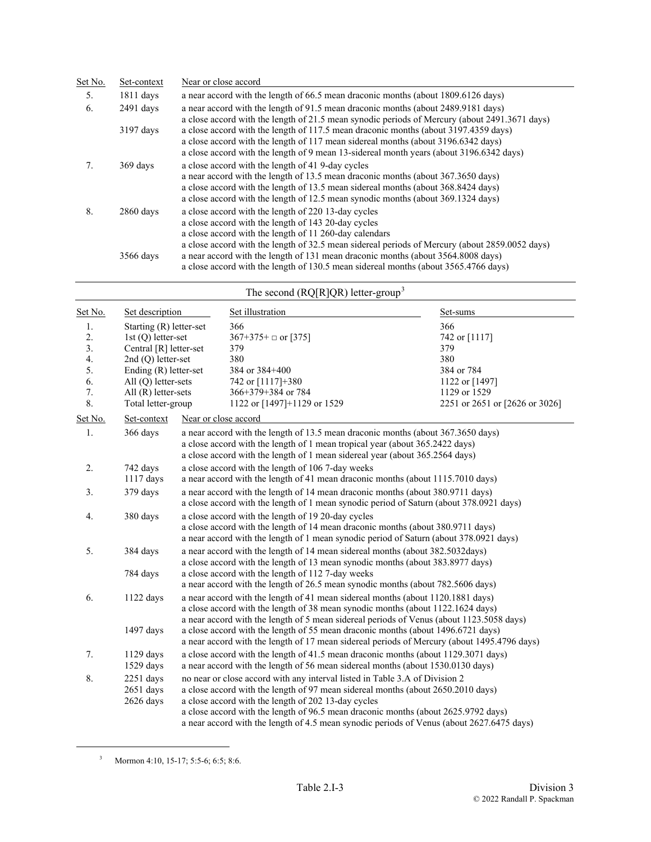| Set No. | Set-context | Near or close accord                                                                                                                                                                                                                                                                                           |
|---------|-------------|----------------------------------------------------------------------------------------------------------------------------------------------------------------------------------------------------------------------------------------------------------------------------------------------------------------|
| 5.      | $1811$ days | a near accord with the length of 66.5 mean draconic months (about 1809.6126 days)                                                                                                                                                                                                                              |
| 6.      | $2491$ days | a near accord with the length of 91.5 mean draconic months (about 2489.9181 days)<br>a close accord with the length of 21.5 mean synodic periods of Mercury (about 2491.3671 days)                                                                                                                             |
|         | 3197 days   | a close accord with the length of 117.5 mean draconic months (about 3197.4359 days)<br>a close accord with the length of 117 mean sidereal months (about 3196.6342 days)<br>a close accord with the length of 9 mean 13-sidereal month years (about 3196.6342 days)                                            |
| 7.      | 369 days    | a close accord with the length of 41 9-day cycles<br>a near accord with the length of 13.5 mean draconic months (about 367.3650 days)<br>a close accord with the length of 13.5 mean sidereal months (about 368.8424 days)<br>a close accord with the length of 12.5 mean synodic months (about 369.1324 days) |
| 8.      | $2860$ days | a close accord with the length of 220 13-day cycles<br>a close accord with the length of 143 20-day cycles<br>a close accord with the length of 11 260-day calendars<br>a close accord with the length of 32.5 mean sidereal periods of Mercury (about 2859.0052 days)                                         |
|         | 3566 days   | a near accord with the length of 131 mean draconic months (about 3564.8008 days)<br>a close accord with the length of 130.5 mean sidereal months (about 3565.4766 days)                                                                                                                                        |

|                                        |                                                                                                                                                                               |                                                                                                                                                                           | The second ( $RQ[R]QR$ ) letter-group <sup>3</sup>                                                                                                                                                                                                                                                                                                                                                                                                |                                                                                    |
|----------------------------------------|-------------------------------------------------------------------------------------------------------------------------------------------------------------------------------|---------------------------------------------------------------------------------------------------------------------------------------------------------------------------|---------------------------------------------------------------------------------------------------------------------------------------------------------------------------------------------------------------------------------------------------------------------------------------------------------------------------------------------------------------------------------------------------------------------------------------------------|------------------------------------------------------------------------------------|
| Set No.                                | Set description                                                                                                                                                               |                                                                                                                                                                           | Set illustration                                                                                                                                                                                                                                                                                                                                                                                                                                  | Set-sums                                                                           |
| 1.<br>2.<br>3.<br>4.<br>5.<br>6.<br>7. | Starting (R) letter-set<br>1st $(Q)$ letter-set<br>Central [R] letter-set<br>$2nd(Q)$ letter-set<br>Ending $(R)$ letter-set<br>$All (O)$ letter-sets<br>All $(R)$ letter-sets |                                                                                                                                                                           | 366<br>$367+375+$ or [375]<br>379<br>380<br>384 or 384+400<br>742 or [1117]+380<br>366+379+384 or 784                                                                                                                                                                                                                                                                                                                                             | 366<br>742 or [1117]<br>379<br>380<br>384 or 784<br>1122 or [1497]<br>1129 or 1529 |
| 8.<br>Set No.                          | Total letter-group<br>Set-context                                                                                                                                             | Near or close accord                                                                                                                                                      | 1122 or [1497]+1129 or 1529                                                                                                                                                                                                                                                                                                                                                                                                                       | 2251 or 2651 or [2626 or 3026]                                                     |
| 1.                                     | 366 days                                                                                                                                                                      |                                                                                                                                                                           | a near accord with the length of 13.5 mean draconic months (about 367.3650 days)<br>a close accord with the length of 1 mean tropical year (about 365.2422 days)<br>a close accord with the length of 1 mean sidereal year (about 365.2564 days)                                                                                                                                                                                                  |                                                                                    |
| 2.                                     | 742 days<br>$1117$ days                                                                                                                                                       |                                                                                                                                                                           | a close accord with the length of 106 7-day weeks<br>a near accord with the length of 41 mean draconic months (about 1115.7010 days)                                                                                                                                                                                                                                                                                                              |                                                                                    |
| 3.                                     | 379 days                                                                                                                                                                      | a near accord with the length of 14 mean draconic months (about 380.9711 days)<br>a close accord with the length of 1 mean synodic period of Saturn (about 378.0921 days) |                                                                                                                                                                                                                                                                                                                                                                                                                                                   |                                                                                    |
| 4.                                     | 380 days                                                                                                                                                                      |                                                                                                                                                                           | a close accord with the length of 19 20-day cycles<br>a close accord with the length of 14 mean draconic months (about 380.9711 days)<br>a near accord with the length of 1 mean synodic period of Saturn (about 378.0921 days)                                                                                                                                                                                                                   |                                                                                    |
| 5.                                     | 384 days<br>784 days                                                                                                                                                          |                                                                                                                                                                           | a near accord with the length of 14 mean sidereal months (about 382.5032days)<br>a close accord with the length of 13 mean synodic months (about 383.8977 days)<br>a close accord with the length of 112 7-day weeks<br>a near accord with the length of 26.5 mean synodic months (about 782.5606 days)                                                                                                                                           |                                                                                    |
| 6.                                     | $1122$ days<br>1497 days                                                                                                                                                      |                                                                                                                                                                           | a near accord with the length of 41 mean sidereal months (about 1120.1881 days)<br>a close accord with the length of 38 mean synodic months (about 1122.1624 days)<br>a near accord with the length of 5 mean sidereal periods of Venus (about 1123.5058 days)<br>a close accord with the length of 55 mean draconic months (about 1496.6721 days)<br>a near accord with the length of 17 mean sidereal periods of Mercury (about 1495.4796 days) |                                                                                    |
| 7.                                     | $1129$ days<br>1529 days                                                                                                                                                      |                                                                                                                                                                           | a close accord with the length of 41.5 mean draconic months (about 1129.3071 days)<br>a near accord with the length of 56 mean sidereal months (about 1530.0130 days)                                                                                                                                                                                                                                                                             |                                                                                    |
| 8.                                     | $2251$ days<br>$2651$ days<br>$2626$ days                                                                                                                                     |                                                                                                                                                                           | no near or close accord with any interval listed in Table 3.A of Division 2<br>a close accord with the length of 97 mean sidereal months (about 2650.2010 days)<br>a close accord with the length of 202 13-day cycles<br>a close accord with the length of 96.5 mean draconic months (about 2625.9792 days)<br>a near accord with the length of 4.5 mean synodic periods of Venus (about 2627.6475 days)                                         |                                                                                    |

<sup>&</sup>lt;sup>3</sup> Mormon 4:10, 15-17; 5:5-6; 6:5; 8:6.

<span id="page-2-0"></span>

L,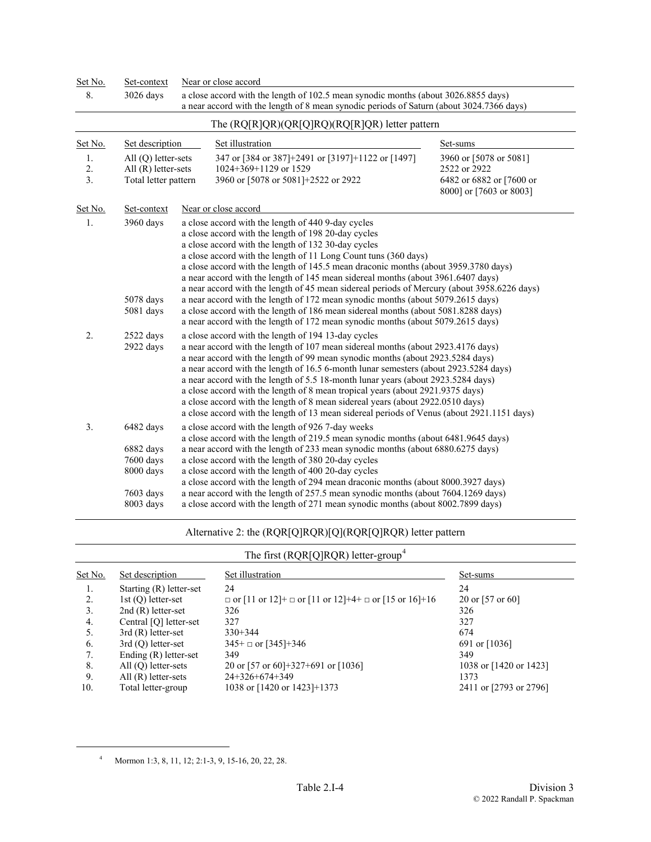| Set No.        | Set-context                                                                | Near or close accord                                                                                                                                                                                                                                                                                                                                                                                                                                                                                                                                                                                                                                                    |                                                                                               |
|----------------|----------------------------------------------------------------------------|-------------------------------------------------------------------------------------------------------------------------------------------------------------------------------------------------------------------------------------------------------------------------------------------------------------------------------------------------------------------------------------------------------------------------------------------------------------------------------------------------------------------------------------------------------------------------------------------------------------------------------------------------------------------------|-----------------------------------------------------------------------------------------------|
| 8.             | 3026 days                                                                  | a close accord with the length of 102.5 mean synodic months (about 3026.8855 days)<br>a near accord with the length of 8 mean synodic periods of Saturn (about 3024.7366 days)                                                                                                                                                                                                                                                                                                                                                                                                                                                                                          |                                                                                               |
|                |                                                                            | The $(RQ[R]QR)(QR[Q]RQ)(RQ[R]QR)$ letter pattern                                                                                                                                                                                                                                                                                                                                                                                                                                                                                                                                                                                                                        |                                                                                               |
| Set No.        | Set description                                                            | Set illustration                                                                                                                                                                                                                                                                                                                                                                                                                                                                                                                                                                                                                                                        | Set-sums                                                                                      |
| 1.<br>2.<br>3. | $All (Q) letter-sets$<br>All $(R)$ letter-sets<br>Total letter pattern     | 347 or [384 or 387]+2491 or [3197]+1122 or [1497]<br>1024+369+1129 or 1529<br>3960 or [5078 or 5081]+2522 or 2922                                                                                                                                                                                                                                                                                                                                                                                                                                                                                                                                                       | 3960 or [5078 or 5081]<br>2522 or 2922<br>6482 or 6882 or [7600 or<br>8000] or [7603 or 8003] |
| Set No.        | Set-context                                                                | Near or close accord                                                                                                                                                                                                                                                                                                                                                                                                                                                                                                                                                                                                                                                    |                                                                                               |
| 1.             | 3960 days                                                                  | a close accord with the length of 440 9-day cycles<br>a close accord with the length of 198 20-day cycles<br>a close accord with the length of 132 30-day cycles<br>a close accord with the length of 11 Long Count tuns (360 days)<br>a close accord with the length of 145.5 mean draconic months (about 3959.3780 days)<br>a near accord with the length of 145 mean sidereal months (about 3961.6407 days)<br>a near accord with the length of 45 mean sidereal periods of Mercury (about 3958.6226 days)                                                                                                                                                           |                                                                                               |
|                | 5078 days<br>5081 days                                                     | a near accord with the length of 172 mean synodic months (about 5079.2615 days)<br>a close accord with the length of 186 mean sidereal months (about 5081.8288 days)<br>a near accord with the length of 172 mean synodic months (about 5079.2615 days)                                                                                                                                                                                                                                                                                                                                                                                                                 |                                                                                               |
| 2.             | 2522 days<br>2922 days                                                     | a close accord with the length of 194 13-day cycles<br>a near accord with the length of 107 mean sidereal months (about 2923.4176 days)<br>a near accord with the length of 99 mean synodic months (about 2923.5284 days)<br>a near accord with the length of 16.5 6-month lunar semesters (about 2923.5284 days)<br>a near accord with the length of 5.5 18-month lunar years (about 2923.5284 days)<br>a close accord with the length of 8 mean tropical years (about 2921.9375 days)<br>a close accord with the length of 8 mean sidereal years (about 2922.0510 days)<br>a close accord with the length of 13 mean sidereal periods of Venus (about 2921.1151 days) |                                                                                               |
| 3.             | 6482 days<br>6882 days<br>7600 days<br>8000 days<br>7603 days<br>8003 days | a close accord with the length of 926 7-day weeks<br>a close accord with the length of 219.5 mean synodic months (about 6481.9645 days)<br>a near accord with the length of 233 mean synodic months (about 6880.6275 days)<br>a close accord with the length of 380 20-day cycles<br>a close accord with the length of 400 20-day cycles<br>a close accord with the length of 294 mean draconic months (about 8000.3927 days)<br>a near accord with the length of 257.5 mean synodic months (about 7604.1269 days)<br>a close accord with the length of 271 mean synodic months (about 8002.7899 days)                                                                  |                                                                                               |

#### Alternative 2: the (RQR[Q]RQR)[Q](RQR[Q]RQR) letter pattern

## The first (RQR[Q]RQR) letter-group<sup>[4](#page-3-0)</sup>

| Set No. | Set description           | Set illustration                                                      | Set-sums               |
|---------|---------------------------|-----------------------------------------------------------------------|------------------------|
| 1.      | Starting $(R)$ letter-set | 24                                                                    | 24                     |
| 2.      | $1st(Q)$ letter-set       | $\Box$ or [11 or 12]+ $\Box$ or [11 or 12]+4+ $\Box$ or [15 or 16]+16 | 20 or $[57$ or 60]     |
| 3.      | $2nd(R)$ letter-set       | 326                                                                   | 326                    |
| 4.      | Central [Q] letter-set    | 327                                                                   | 327                    |
| 5.      | $3rd(R)$ letter-set       | $330+344$                                                             | 674                    |
| 6.      | $3rd(Q)$ letter-set       | $345+$ or [345]+346                                                   | 691 or $[1036]$        |
| 7.      | Ending $(R)$ letter-set   | 349                                                                   | 349                    |
| 8.      | All $(Q)$ letter-sets     | 20 or [57 or 60]+327+691 or [1036]                                    | 1038 or [1420 or 1423] |
| 9.      | $All(R)$ letter-sets      | 24+326+674+349                                                        | 1373                   |
| 10.     | Total letter-group        | 1038 or [1420 or 1423]+1373                                           | 2411 or [2793 or 2796] |

<span id="page-3-0"></span><sup>4</sup> Mormon 1:3, 8, 11, 12; 2:1-3, 9, 15-16, 20, 22, 28.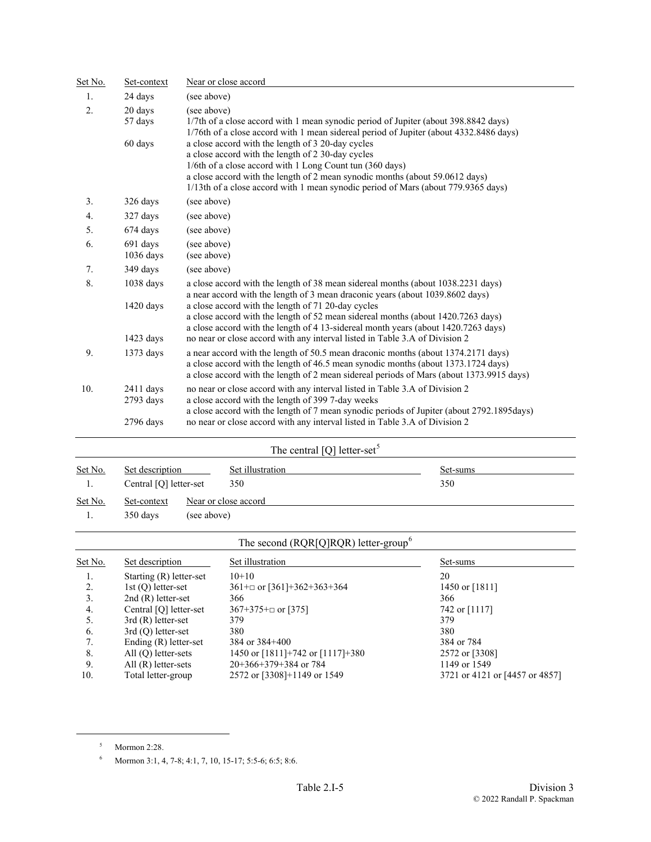| Set No. | Set-context              |                            | Near or close accord                                                                                                                                                                                                                                                                                                                    |                                |
|---------|--------------------------|----------------------------|-----------------------------------------------------------------------------------------------------------------------------------------------------------------------------------------------------------------------------------------------------------------------------------------------------------------------------------------|--------------------------------|
| 1.      | 24 days                  | (see above)                |                                                                                                                                                                                                                                                                                                                                         |                                |
| 2.      | 20 days<br>57 days       | (see above)                | 1/7th of a close accord with 1 mean synodic period of Jupiter (about 398.8842 days)<br>1/76th of a close accord with 1 mean sidereal period of Jupiter (about 4332.8486 days)                                                                                                                                                           |                                |
|         | 60 days                  |                            | a close accord with the length of 3 20-day cycles<br>a close accord with the length of 2 30-day cycles<br>1/6th of a close accord with 1 Long Count tun (360 days)<br>a close accord with the length of 2 mean synodic months (about 59.0612 days)<br>1/13th of a close accord with 1 mean synodic period of Mars (about 779.9365 days) |                                |
| 3.      | 326 days                 | (see above)                |                                                                                                                                                                                                                                                                                                                                         |                                |
| 4.      | 327 days                 | (see above)                |                                                                                                                                                                                                                                                                                                                                         |                                |
| 5.      | 674 days                 | (see above)                |                                                                                                                                                                                                                                                                                                                                         |                                |
| 6.      | 691 days<br>1036 days    | (see above)<br>(see above) |                                                                                                                                                                                                                                                                                                                                         |                                |
| 7.      | 349 days                 | (see above)                |                                                                                                                                                                                                                                                                                                                                         |                                |
| 8.      | 1038 days                |                            | a close accord with the length of 38 mean sidereal months (about 1038.2231 days)                                                                                                                                                                                                                                                        |                                |
|         | 1420 days                |                            | a near accord with the length of 3 mean draconic years (about 1039.8602 days)<br>a close accord with the length of 71 20-day cycles<br>a close accord with the length of 52 mean sidereal months (about 1420.7263 days)<br>a close accord with the length of 4 13-sidereal month years (about 1420.7263 days)                           |                                |
|         | 1423 days                |                            | no near or close accord with any interval listed in Table 3.A of Division 2                                                                                                                                                                                                                                                             |                                |
| 9.      | 1373 days                |                            | a near accord with the length of 50.5 mean draconic months (about 1374.2171 days)<br>a close accord with the length of 46.5 mean synodic months (about 1373.1724 days)<br>a close accord with the length of 2 mean sidereal periods of Mars (about 1373.9915 days)                                                                      |                                |
| 10.     | $2411$ days<br>2793 days |                            | no near or close accord with any interval listed in Table 3.A of Division 2<br>a close accord with the length of 399 7-day weeks<br>a close accord with the length of 7 mean synodic periods of Jupiter (about 2792.1895days)                                                                                                           |                                |
|         | 2796 days                |                            | no near or close accord with any interval listed in Table 3.A of Division 2                                                                                                                                                                                                                                                             |                                |
|         |                          |                            | The central [Q] letter-set <sup>5</sup>                                                                                                                                                                                                                                                                                                 |                                |
| Set No. | Set description          |                            | Set illustration                                                                                                                                                                                                                                                                                                                        | Set-sums                       |
| 1.      | Central [Q] letter-set   |                            | 350                                                                                                                                                                                                                                                                                                                                     | 350                            |
| Set No. | Set-context              |                            | Near or close accord                                                                                                                                                                                                                                                                                                                    |                                |
| 1.      | 350 days                 | (see above)                |                                                                                                                                                                                                                                                                                                                                         |                                |
|         |                          |                            | The second (RQR[Q]RQR) letter-group <sup>6</sup>                                                                                                                                                                                                                                                                                        |                                |
| Set No. | Set description          |                            | Set illustration                                                                                                                                                                                                                                                                                                                        | Set-sums                       |
| 1.      | Starting (R) letter-set  |                            | $10+10$                                                                                                                                                                                                                                                                                                                                 | 20                             |
| 2.      | 1st $(Q)$ letter-set     |                            | 361+ $\Box$ or [361]+362+363+364                                                                                                                                                                                                                                                                                                        | 1450 or [1811]                 |
| 3.      | $2nd(R)$ letter-set      |                            | 366                                                                                                                                                                                                                                                                                                                                     | 366                            |
| 4.      | Central [Q] letter-set   |                            | $367+375+ \square$ or [375]                                                                                                                                                                                                                                                                                                             | 742 or [1117]                  |
| 5.      | $3rd(R)$ letter-set      |                            | 379                                                                                                                                                                                                                                                                                                                                     | 379                            |
| 6.      | $3rd(Q)$ letter-set      |                            | 380                                                                                                                                                                                                                                                                                                                                     | 380                            |
| 7.      | Ending (R) letter-set    |                            | 384 or 384+400                                                                                                                                                                                                                                                                                                                          | 384 or 784                     |
| 8.      | All (Q) letter-sets      |                            | 1450 or [1811]+742 or [1117]+380                                                                                                                                                                                                                                                                                                        | 2572 or [3308]                 |
| 9.      | All $(R)$ letter-sets    |                            | 20+366+379+384 or 784                                                                                                                                                                                                                                                                                                                   | 1149 or 1549                   |
| 10.     | Total letter-group       |                            | 2572 or [3308]+1149 or 1549                                                                                                                                                                                                                                                                                                             | 3721 or 4121 or [4457 or 4857] |

<span id="page-4-0"></span><sup>5</sup> Mormon 2:28.

<span id="page-4-1"></span><sup>6</sup> Mormon 3:1, 4, 7-8; 4:1, 7, 10, 15-17; 5:5-6; 6:5; 8:6.